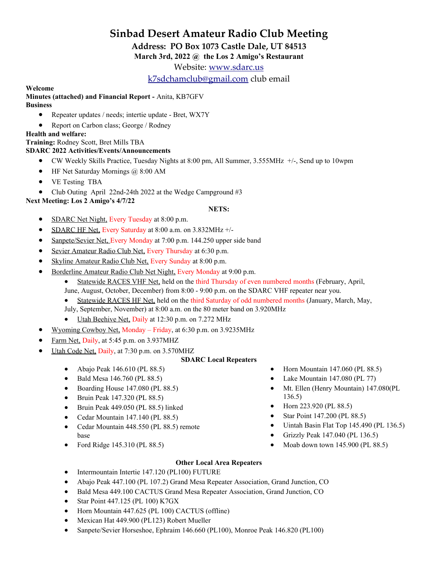# **Sinbad Desert Amateur Radio Club Meeting**

**Address: PO Box 1073 Castle Dale, UT 84513**

**March 3rd, 2022 @ the Los 2 Amigo's Restaurant**

Website: [www.sdarc.us](http://www.sdarc.us/)

[k7sdchamclub@gmail.com](mailto:k7sdchamclub@gmail.com) club email

# **Welcome**

**Minutes (attached) and Financial Report -** Anita, KB7GFV **Business** 

- Repeater updates / needs; intertie update Bret, WX7Y
- Report on Carbon class; George / Rodney

## **Health and welfare:**

**Training:** Rodney Scott, Bret Mills TBA

# **SDARC 2022 Activities/Events/Announcements**

- CW Weekly Skills Practice, Tuesday Nights at 8:00 pm, All Summer, 3.555MHz +/-, Send up to 10wpm
- $\bullet$  HF Net Saturday Mornings @ 8:00 AM
- VE Testing TBA
- Club Outing April 22nd-24th 2022 at the Wedge Campground #3

**Next Meeting: Los 2 Amigo's 4/7/22**

#### **NETS:**

- SDARC Net Night, Every Tuesday at 8:00 p.m.
- SDARC HF Net, Every Saturday at  $8:00$  a.m. on  $3.832$ MHz  $+/-$
- Sanpete/Sevier Net, Every Monday at 7:00 p.m. 144.250 upper side band
- Sevier Amateur Radio Club Net, Every Thursday at 6:30 p.m.
- Skyline Amateur Radio Club Net, Every Sunday at 8:00 p.m.
- Borderline Amateur Radio Club Net Night, Every Monday at 9:00 p.m.
	- Statewide RACES VHF Net, held on the third Thursday of even numbered months (February, April, June, August, October, December) from 8:00 - 9:00 p.m. on the SDARC VHF repeater near you.
	- Statewide RACES HF Net, held on the third Saturday of odd numbered months (January, March, May, July, September, November) at 8:00 a.m. on the 80 meter band on 3.920MHz
	- Utah Beehive Net, Daily at 12:30 p.m. on 7.272 MHz
- Wyoming Cowboy Net, Monday Friday, at 6:30 p.m. on 3.9235MHz
- Farm Net, Daily, at 5:45 p.m. on 3.937MHZ
- Utah Code Net, Daily, at 7:30 p.m. on 3.570MHZ

## **SDARC Local Repeaters**

- Abajo Peak 146.610 (PL 88.5)
- Bald Mesa 146.760 (PL 88.5)
- $\bullet$  Boarding House 147.080 (PL 88.5)
- Bruin Peak 147.320 (PL 88.5)
- Bruin Peak 449.050 (PL 88.5) linked
- Cedar Mountain 147.140 (PL 88.5)
- Cedar Mountain 448.550 (PL 88.5) remote base
- Ford Ridge 145.310 (PL 88.5)
- $\bullet$  Horn Mountain 147.060 (PL 88.5)
- Lake Mountain 147.080 (PL 77)
- Mt. Ellen (Henry Mountain) 147.080(PL 136.5)
- Horn 223.920 (PL 88.5)
- Star Point 147.200 (PL 88.5)
- Uintah Basin Flat Top 145.490 (PL 136.5)
- Grizzly Peak 147.040 (PL 136.5)
- Moab down town 145.900 (PL 88.5)

## **Other Local Area Repeaters**

- Intermountain Intertie 147.120 (PL100) FUTURE
- Abajo Peak 447.100 (PL 107.2) Grand Mesa Repeater Association, Grand Junction, CO
- Bald Mesa 449.100 CACTUS Grand Mesa Repeater Association, Grand Junction, CO
- Star Point 447.125 (PL 100) K7GX
- Horn Mountain 447.625 (PL 100) CACTUS (offline)
- Mexican Hat 449.900 (PL123) Robert Mueller
- Sanpete/Sevier Horseshoe, Ephraim 146.660 (PL100), Monroe Peak 146.820 (PL100)